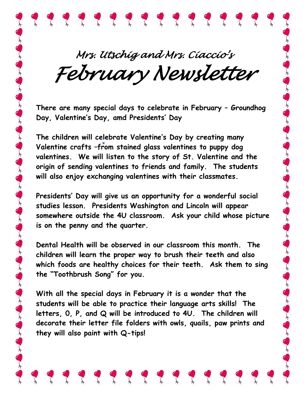*Mrs. Utschig and Mrs. Ciaccio's February Newsletter*

???????????????

**There are many special days to celebrate in February – Groundhog Day, Valentine's Day, amd Presidents' Day**

**The children will celebrate Valentine's Day by creating many Valentine crafts –from stained glass valentines to puppy dog valentines. We will listen to the story of St. Valentine and the origin of sending valentines to friends and family. The students will also enjoy exchanging valentines with their classmates.**

**Presidents' Day will give us an opportunity for a wonderful social studies lesson. Presidents Washington and Lincoln will appear somewhere outside the 4U classroom. Ask your child whose picture is on the penny and the quarter.**

من المعلم العام المعلم المعلم المعلم المعلم المعلم المعلم المعلم المعلم المعلم المعلم المعلم المعلم المعلم الم

**Dental Health will be observed in our classroom this month. The children will learn the proper way to brush their teeth and also which foods are healthy choices for their teeth. Ask them to sing the "Toothbrush Song" for you.** 

**With all the special days in February it is a wonder that the students will be able to practice their language arts skills! The letters, 0, P, and Q will be introduced to 4U. The children will decorate their letter file folders with owls, quails, paw prints and they will also paint with Q-tips!**

 $\sqrt{2}$ 

 $\epsilon$